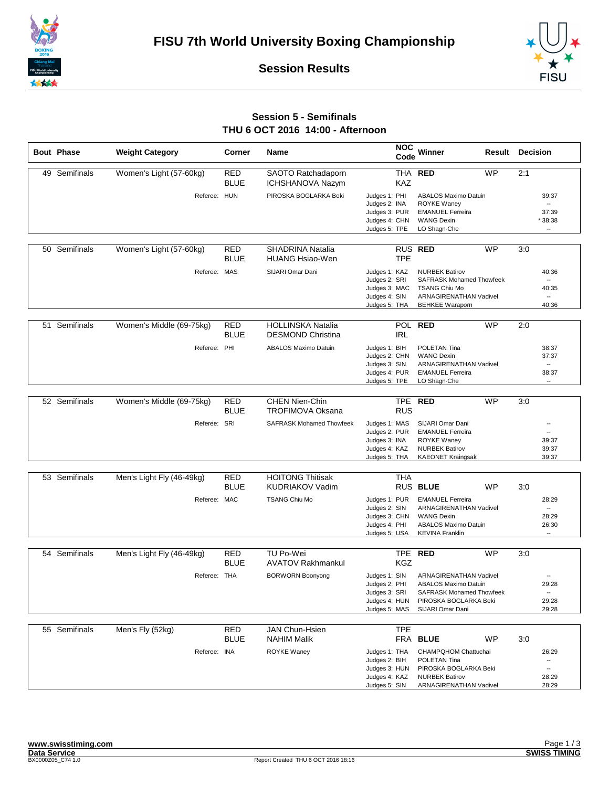



**Session Results**

## **Session 5 - Semifinals THU 6 OCT 2016 14:00 - Afternoon**

|    | <b>Bout Phase</b> | <b>Weight Category</b>    | Corner                    | <b>Name</b>                                          | <b>NOC</b><br>Code                                                                | Winner                                                                                                                                      | Result    | <b>Decision</b> |                                                                                 |
|----|-------------------|---------------------------|---------------------------|------------------------------------------------------|-----------------------------------------------------------------------------------|---------------------------------------------------------------------------------------------------------------------------------------------|-----------|-----------------|---------------------------------------------------------------------------------|
|    | 49 Semifinals     | Women's Light (57-60kg)   | <b>RED</b><br><b>BLUE</b> | SAOTO Ratchadaporn<br><b>ICHSHANOVA Nazym</b>        | KAZ                                                                               | THA RED                                                                                                                                     | <b>WP</b> | 2:1             |                                                                                 |
|    |                   | Referee: HUN              |                           | PIROSKA BOGLARKA Beki                                | Judges 1: PHI<br>Judges 2: INA<br>Judges 3: PUR<br>Judges 4: CHN<br>Judges 5: TPE | <b>ABALOS Maximo Datuin</b><br><b>ROYKE Wanev</b><br><b>EMANUEL Ferreira</b><br><b>WANG Dexin</b><br>LO Shagn-Che                           |           |                 | 39:37<br>$\overline{\phantom{a}}$<br>37:39<br>*38:38<br>                        |
|    | 50 Semifinals     | Women's Light (57-60kg)   | <b>RED</b><br><b>BLUE</b> | <b>SHADRINA Natalia</b><br><b>HUANG Hsiao-Wen</b>    | <b>TPE</b>                                                                        | RUS RED                                                                                                                                     | <b>WP</b> | 3:0             |                                                                                 |
|    |                   | Referee: MAS              |                           | SIJARI Omar Dani                                     | Judges 1: KAZ<br>Judges 2: SRI<br>Judges 3: MAC<br>Judges 4: SIN<br>Judges 5: THA | <b>NURBEK Batirov</b><br><b>SAFRASK Mohamed Thowfeek</b><br><b>TSANG Chiu Mo</b><br><b>ARNAGIRENATHAN Vadivel</b><br><b>BEHKEE Waraporn</b> |           |                 | 40:36<br>$\overline{\phantom{a}}$<br>40:35<br>-−<br>40:36                       |
| 51 | Semifinals        | Women's Middle (69-75kg)  | <b>RED</b><br><b>BLUE</b> | <b>HOLLINSKA Natalia</b><br><b>DESMOND Christina</b> | <b>POL</b><br><b>IRL</b>                                                          | <b>RED</b>                                                                                                                                  | WP        | 2:0             |                                                                                 |
|    |                   | Referee: PHI              |                           | <b>ABALOS Maximo Datuin</b>                          | Judges 1: BIH<br>Judges 2: CHN<br>Judges 3: SIN<br>Judges 4: PUR<br>Judges 5: TPE | POLETAN Tina<br><b>WANG Dexin</b><br><b>ARNAGIRENATHAN Vadivel</b><br><b>EMANUEL Ferreira</b><br>LO Shagn-Che                               |           |                 | 38:37<br>37:37<br>$\overline{\phantom{a}}$<br>38:37<br>$\overline{\phantom{a}}$ |
|    | 52 Semifinals     | Women's Middle (69-75kg)  | <b>RED</b><br><b>BLUE</b> | <b>CHEN Nien-Chin</b><br><b>TROFIMOVA Oksana</b>     | <b>RUS</b>                                                                        | TPE RED                                                                                                                                     | <b>WP</b> | 3:0             |                                                                                 |
|    |                   | Referee: SRI              |                           | <b>SAFRASK Mohamed Thowfeek</b>                      | Judges 1: MAS<br>Judges 2: PUR<br>Judges 3: INA<br>Judges 4: KAZ<br>Judges 5: THA | SIJARI Omar Dani<br><b>EMANUEL Ferreira</b><br><b>ROYKE Waney</b><br><b>NURBEK Batirov</b><br><b>KAEONET Kraingsak</b>                      |           |                 | $\overline{\phantom{a}}$<br>$\overline{\phantom{a}}$<br>39:37<br>39:37<br>39:37 |
|    | 53 Semifinals     | Men's Light Fly (46-49kg) | <b>RED</b><br><b>BLUE</b> | <b>HOITONG Thitisak</b><br><b>KUDRIAKOV Vadim</b>    | <b>THA</b>                                                                        | RUS BLUE                                                                                                                                    | <b>WP</b> | 3:0             |                                                                                 |
|    |                   | Referee: MAC              |                           | <b>TSANG Chiu Mo</b>                                 | Judges 1: PUR<br>Judges 2: SIN<br>Judges 3: CHN<br>Judges 4: PHI<br>Judges 5: USA | <b>EMANUEL Ferreira</b><br><b>ARNAGIRENATHAN Vadivel</b><br><b>WANG Dexin</b><br><b>ABALOS Maximo Datuin</b><br><b>KEVINA Franklin</b>      |           |                 | 28:29<br>$\overline{\phantom{a}}$<br>28:29<br>26:30<br>                         |
|    | 54 Semifinals     | Men's Light Fly (46-49kg) | <b>RED</b><br><b>BLUE</b> | TU Po-Wei<br><b>AVATOV Rakhmankul</b>                | <b>TPE</b><br><b>KGZ</b>                                                          | <b>RED</b>                                                                                                                                  | <b>WP</b> | 3:0             |                                                                                 |
|    |                   | Referee: THA              |                           | <b>BORWORN Boonyong</b>                              | Judges 1: SIN<br>Judges 2: PHI<br>Judges 3: SRI<br>Judges 4: HUN<br>Judges 5: MAS | ARNAGIRENATHAN Vadivel<br><b>ABALOS Maximo Datuin</b><br>SAFRASK Mohamed Thowfeek<br>PIROSKA BOGLARKA Beki<br>SIJARI Omar Dani              |           |                 | 29:28<br>--<br>29:28<br>29:28                                                   |
|    | 55 Semifinals     | Men's Fly (52kg)          | <b>RED</b>                | <b>JAN Chun-Hsien</b>                                | <b>TPE</b>                                                                        |                                                                                                                                             |           |                 |                                                                                 |
|    |                   | Referee: INA              | <b>BLUE</b>               | <b>NAHIM Malik</b><br>ROYKE Waney                    | Judges 1: THA<br>Judges 2: BIH<br>Judges 3: HUN<br>Judges 4: KAZ<br>Judges 5: SIN | FRA BLUE<br>CHAMPQHOM Chattuchai<br>POLETAN Tina<br>PIROSKA BOGLARKA Beki<br><b>NURBEK Batirov</b><br>ARNAGIRENATHAN Vadivel                | WP        | 3:0             | 26:29<br>۰.<br>--<br>28:29<br>28:29                                             |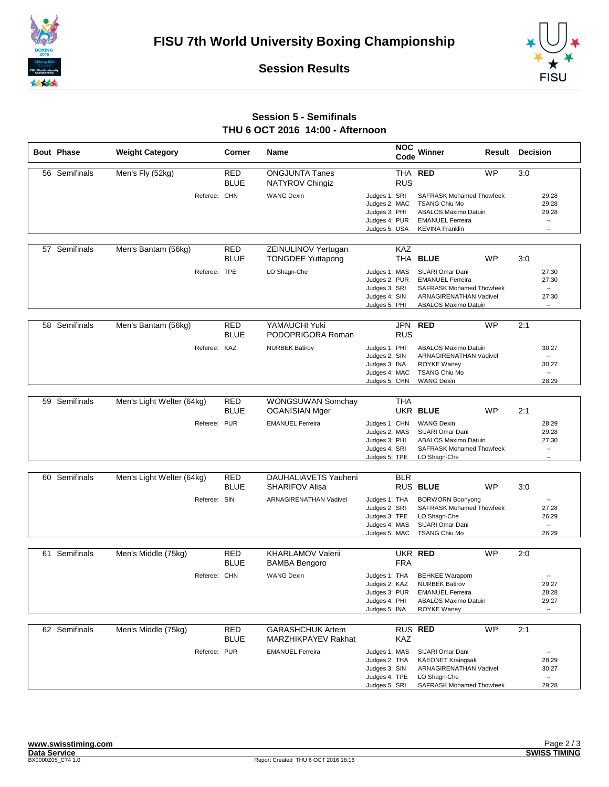





## **Session 5 - Semifinals THU 6 OCT 2016 14:00 - Afternoon**

|    | <b>Bout Phase</b> | <b>Weight Category</b>    |              | Corner                    | Name                                             | <b>NOC</b><br>Code                                                                | Winner<br>Result                                                                                                                            | <b>Decision</b> |                                                                                 |
|----|-------------------|---------------------------|--------------|---------------------------|--------------------------------------------------|-----------------------------------------------------------------------------------|---------------------------------------------------------------------------------------------------------------------------------------------|-----------------|---------------------------------------------------------------------------------|
|    | 56 Semifinals     | Men's Fly (52kg)          |              | <b>RED</b><br><b>BLUE</b> | <b>ONGJUNTA Tanes</b><br>NATYROV Chingiz         | <b>THA</b><br><b>RUS</b>                                                          | <b>WP</b><br><b>RED</b>                                                                                                                     | 3:0             |                                                                                 |
|    |                   |                           | Referee: CHN |                           | <b>WANG Dexin</b>                                | Judges 1: SRI<br>Judges 2: MAC<br>Judges 3: PHI<br>Judges 4: PUR<br>Judges 5: USA | <b>SAFRASK Mohamed Thowfeek</b><br><b>TSANG Chiu Mo</b><br><b>ABALOS Maximo Datuin</b><br><b>EMANUEL Ferreira</b><br><b>KEVINA Franklin</b> |                 | 29:28<br>29:28<br>29:28<br><br>$\overline{\phantom{a}}$                         |
|    | 57 Semifinals     | Men's Bantam (56kg)       |              | RED<br><b>BLUE</b>        | ZEINULINOV Yertugan<br><b>TONGDEE Yuttapong</b>  | <b>KAZ</b>                                                                        | THA BLUE<br>WP                                                                                                                              | 3:0             |                                                                                 |
|    |                   |                           | Referee: TPE |                           | LO Shagn-Che                                     | Judges 1: MAS<br>Judges 2: PUR<br>Judges 3: SRI<br>Judges 4: SIN<br>Judges 5: PHI | SIJARI Omar Dani<br><b>EMANUEL Ferreira</b><br><b>SAFRASK Mohamed Thowfeek</b><br>ARNAGIRENATHAN Vadivel<br>ABALOS Maximo Datuin            |                 | 27:30<br>27:30<br>$\overline{\phantom{a}}$<br>27:30<br>$\overline{\phantom{a}}$ |
|    | 58 Semifinals     |                           |              |                           | YAMAUCHI Yuki                                    |                                                                                   | <b>RED</b><br><b>WP</b>                                                                                                                     |                 |                                                                                 |
|    |                   | Men's Bantam (56kg)       |              | <b>RED</b><br><b>BLUE</b> | PODOPRIGORA Roman                                | JPN<br><b>RUS</b>                                                                 |                                                                                                                                             | 2:1             |                                                                                 |
|    |                   |                           | Referee: KAZ |                           | <b>NURBEK Batirov</b>                            | Judges 1: PHI<br>Judges 2: SIN<br>Judges 3: INA                                   | <b>ABALOS Maximo Datuin</b><br>ARNAGIRENATHAN Vadivel<br><b>ROYKE Waney</b>                                                                 |                 | 30:27<br>$\overline{\phantom{a}}$<br>30:27                                      |
|    |                   |                           |              |                           |                                                  | Judges 4: MAC<br>Judges 5: CHN                                                    | <b>TSANG Chiu Mo</b><br><b>WANG Dexin</b>                                                                                                   |                 | $\overline{\phantom{a}}$<br>28:29                                               |
|    | 59 Semifinals     | Men's Light Welter (64kg) |              | <b>RED</b>                | <b>WONGSUWAN Somchay</b>                         | <b>THA</b>                                                                        |                                                                                                                                             |                 |                                                                                 |
|    |                   |                           |              | <b>BLUE</b>               | <b>OGANISIAN Mger</b>                            |                                                                                   | UKR BLUE<br><b>WP</b>                                                                                                                       | 2:1             |                                                                                 |
|    |                   |                           | Referee: PUR |                           | <b>EMANUEL Ferreira</b>                          | Judges 1: CHN<br>Judges 2: MAS<br>Judges 3: PHI<br>Judges 4: SRI<br>Judges 5: TPE | <b>WANG Dexin</b><br>SIJARI Omar Dani<br><b>ABALOS Maximo Datuin</b><br><b>SAFRASK Mohamed Thowfeek</b><br>LO Shagn-Che                     |                 | 28:29<br>29:28<br>27:30<br>$\overline{\phantom{a}}$<br>−−                       |
|    | 60 Semifinals     | Men's Light Welter (64kg) |              | <b>RED</b>                | DAUHALIAVETS Yauheni                             | <b>BLR</b>                                                                        |                                                                                                                                             |                 |                                                                                 |
|    |                   |                           |              | <b>BLUE</b>               | <b>SHARIFOV Alisa</b>                            |                                                                                   | RUS BLUE<br><b>WP</b>                                                                                                                       | 3:0             |                                                                                 |
|    |                   |                           | Referee: SIN |                           | <b>ARNAGIRENATHAN Vadivel</b>                    | Judges 1: THA<br>Judges 2: SRI<br>Judges 3: TPE<br>Judges 4: MAS<br>Judges 5: MAC | <b>BORWORN Boonyong</b><br><b>SAFRASK Mohamed Thowfeek</b><br>LO Shagn-Che<br>SIJARI Omar Dani<br><b>TSANG Chiu Mo</b>                      |                 | 27:28<br>26:29<br>--<br>26:29                                                   |
|    |                   |                           |              |                           |                                                  |                                                                                   |                                                                                                                                             |                 |                                                                                 |
| 61 | Semifinals        | Men's Middle (75kg)       |              | <b>RED</b><br><b>BLUE</b> | <b>KHARLAMOV Valerii</b><br><b>BAMBA Bengoro</b> | <b>FRA</b>                                                                        | UKR RED<br><b>WP</b>                                                                                                                        | 2:0             |                                                                                 |
|    |                   |                           | Referee: CHN |                           | <b>WANG Dexin</b>                                | Judges 1: THA<br>Judges 2: KAZ<br>Judges 3: PUR<br>Judges 4: PHI<br>Judges 5: INA | <b>BEHKEE Waraporn</b><br><b>NURBEK Batirov</b><br><b>EMANUEL Ferreira</b><br><b>ABALOS Maximo Datuin</b><br><b>ROYKE Waney</b>             |                 | 29:27<br>28:28<br>29:27                                                         |
|    | 62 Semifinals     | Men's Middle (75kg)       |              | <b>RED</b>                | <b>GARASHCHUK Artem</b>                          |                                                                                   | RUS RED<br>WP                                                                                                                               | 2:1             |                                                                                 |
|    |                   |                           |              | <b>BLUE</b>               | MARZHIKPAYEV Rakhat                              | KAZ                                                                               |                                                                                                                                             |                 |                                                                                 |
|    |                   |                           | Referee: PUR |                           | <b>EMANUEL Ferreira</b>                          | Judges 1: MAS<br>Judges 2: THA<br>Judges 3: SIN<br>Judges 4: TPE                  | SIJARI Omar Dani<br><b>KAEONET Kraingsak</b><br>ARNAGIRENATHAN Vadivel<br>LO Shagn-Che                                                      |                 | 28:29<br>30:27<br>$\overline{\phantom{a}}$                                      |
|    |                   |                           |              |                           |                                                  | Judges 5: SRI                                                                     | <b>SAFRASK Mohamed Thowfeek</b>                                                                                                             |                 | 29:28                                                                           |